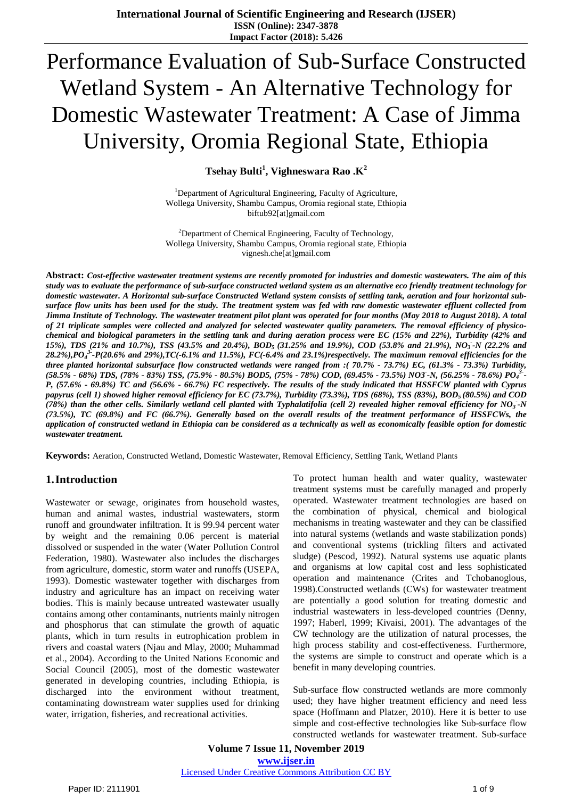# Performance Evaluation of Sub-Surface Constructed Wetland System - An Alternative Technology for Domestic Wastewater Treatment: A Case of Jimma University, Oromia Regional State, Ethiopia

**Tsehay Bulti<sup>1</sup> , Vighneswara Rao .K<sup>2</sup>**

<sup>1</sup>Department of Agricultural Engineering, Faculty of Agriculture, Wollega University, Shambu Campus, Oromia regional state, Ethiopia biftub92[at]gmail.com

<sup>2</sup>Department of Chemical Engineering, Faculty of Technology, Wollega University, Shambu Campus, Oromia regional state, Ethiopia vignesh.che[at]gmail.com

Abstract: Cost-effective wastewater treatment systems are recently promoted for industries and domestic wastewaters. The aim of this study was to evaluate the performance of sub-surface constructed wetland system as an alternative eco friendly treatment technology for domestic wastewater. A Horizontal sub-surface Constructed Wetland system consists of settling tank, aeration and four horizontal subsurface flow units has been used for the study. The treatment system was fed with raw domestic wastewater effluent collected from Jimma Institute of Technology. The wastewater treatment pilot plant was operated for four months (May 2018 to August 2018). A total of 21 triplicate samples were collected and analyzed for selected wastewater quality parameters. The removal efficiency of physicochemical and biological parameters in the settling tank and during aeration process were EC (15% and 22%), Turbidity (42% and 15%), TDS (21% and 10.7%), TSS (43.5% and 20.4%), BOD<sub>5</sub> (31.25% and 19.9%), COD (53.8% and 21.9%), NO<sub>3</sub>-N (22.2% and 28.2%),PO $_4^{3}$ -P(20.6% and 29%),TC(-6.1% and 11.5%), FC(-6.4% and 23.1%)respectively. The maximum removal efficiencies for the three planted horizontal subsurface flow constructed wetlands were ranged from :(70.7% - 73.7%) EC, (61.3% - 73.3%) Turbidity,  $(58.5\%$  - 68%) TDS, (78% - 83%) TSS, (75.9% - 80.5%) BOD5, (75% - 78%) COD, (69.45% - 73.5%) NO3-N, (56.25% - 78.6%) PO $_4$ 3-P, (57.6% - 69.8%) TC and (56.6% - 66.7%) FC respectively. The results of the study indicated that HSSFCW planted with Cyprus papyrus (cell 1) showed higher removal efficiency for EC (73.7%), Turbidity (73.3%), TDS (68%), TSS (83%), BOD<sub>5</sub> (80.5%) and COD (78%) than the other cells. Similarly wetland cell planted with Typhalatifolia (cell 2) revealed higher removal efficiency for NO<sub>3</sub>-N (73.5%), TC (69.8%) and FC (66.7%). Generally based on the overall results of the treatment performance of HSSFCWs, the application of constructed wetland in Ethiopia can be considered as a technically as well as economically feasible option for domestic *wastewater treatment.*

**Keywords:** Aeration, Constructed Wetland, Domestic Wastewater, Removal Efficiency, Settling Tank, Wetland Plants

# **1.Introduction**

Wastewater or sewage, originates from household wastes, human and animal wastes, industrial wastewaters, storm runoff and groundwater infiltration. It is 99.94 percent water by weight and the remaining 0.06 percent is material dissolved or suspended in the water (Water Pollution Control Federation, 1980). Wastewater also includes the discharges from agriculture, domestic, storm water and runoffs (USEPA, 1993). Domestic wastewater together with discharges from industry and agriculture has an impact on receiving water bodies. This is mainly because untreated wastewater usually contains among other contaminants, nutrients mainly nitrogen and phosphorus that can stimulate the growth of aquatic plants, which in turn results in eutrophication problem in rivers and coastal waters (Njau and Mlay, 2000; Muhammad et al., 2004). According to the United Nations Economic and Social Council (2005), most of the domestic wastewater generated in developing countries, including Ethiopia, is discharged into the environment without treatment, contaminating downstream water supplies used for drinking water, irrigation, fisheries, and recreational activities.

To protect human health and water quality, wastewater treatment systems must be carefully managed and properly operated. Wastewater treatment technologies are based on the combination of physical, chemical and biological mechanisms in treating wastewater and they can be classified into natural systems (wetlands and waste stabilization ponds) and conventional systems (trickling filters and activated sludge) (Pescod, 1992). Natural systems use aquatic plants and organisms at low capital cost and less sophisticated operation and maintenance (Crites and Tchobanoglous, 1998).Constructed wetlands (CWs) for wastewater treatment are potentially a good solution for treating domestic and industrial wastewaters in less-developed countries (Denny, 1997; Haberl, 1999; Kivaisi, 2001). The advantages of the CW technology are the utilization of natural processes, the high process stability and cost-effectiveness. Furthermore, the systems are simple to construct and operate which is a benefit in many developing countries.

Sub-surface flow constructed wetlands are more commonly used; they have higher treatment efficiency and need less space (Hoffmann and Platzer, 2010). Here it is better to use simple and cost-effective technologies like Sub-surface flow constructed wetlands for wastewater treatment. Sub-surface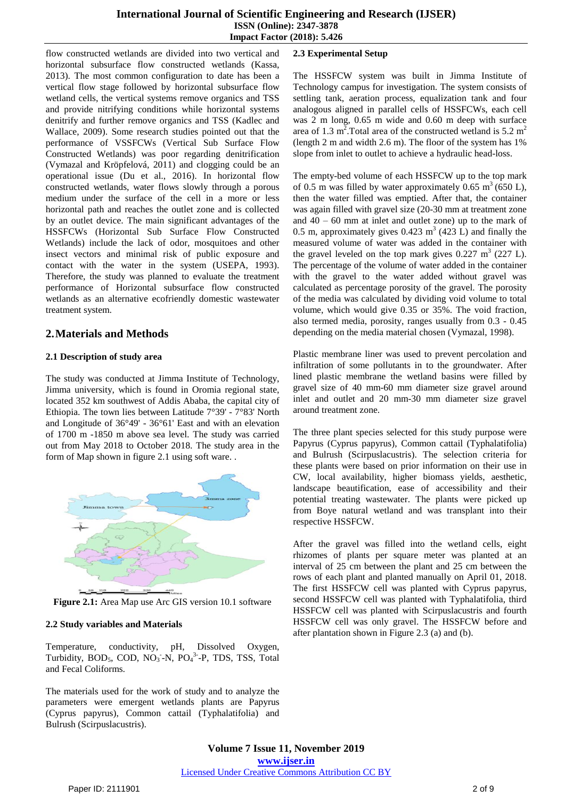#### **International Journal of Scientific Engineering and Research (IJSER) ISSN (Online): 2347-3878 Impact Factor (2018): 5.426**

flow constructed wetlands are divided into two vertical and horizontal subsurface flow constructed wetlands (Kassa, 2013). The most common configuration to date has been a vertical flow stage followed by horizontal subsurface flow wetland cells, the vertical systems remove organics and TSS and provide nitrifying conditions while horizontal systems denitrify and further remove organics and TSS (Kadlec and Wallace, 2009). Some research studies pointed out that the performance of VSSFCWs (Vertical Sub Surface Flow Constructed Wetlands) was poor regarding denitrification (Vymazal and Kröpfelová, 2011) and clogging could be an operational issue (Du et al., 2016). In horizontal flow constructed wetlands, water flows slowly through a porous medium under the surface of the cell in a more or less horizontal path and reaches the outlet zone and is collected by an outlet device. The main significant advantages of the HSSFCWs (Horizontal Sub Surface Flow Constructed Wetlands) include the lack of odor, mosquitoes and other insect vectors and minimal risk of public exposure and contact with the water in the system (USEPA, 1993). Therefore, the study was planned to evaluate the treatment performance of Horizontal subsurface flow constructed wetlands as an alternative ecofriendly domestic wastewater treatment system.

# **2.Materials and Methods**

## **2.1 Description of study area**

The study was conducted at Jimma Institute of Technology, Jimma university, which is found in Oromia regional state, located 352 km southwest of Addis Ababa, the capital city of Ethiopia. The town lies between Latitude 7°39' - 7°83' North and Longitude of 36°49' - 36°61' East and with an elevation of 1700 m -1850 m above sea level. The study was carried out from May 2018 to October 2018. The study area in the form of Map shown in figure 2.1 using soft ware. .



**Figure 2.1:** Area Map use Arc GIS version 10.1 software

## **2.2 Study variables and Materials**

Temperature, conductivity, pH, Dissolved Oxygen, Turbidity,  $BOD_5$ ,  $COD$ ,  $NO_3$ -N,  $PO_4$ <sup>3</sup>-P, TDS, TSS, Total and Fecal Coliforms.

The materials used for the work of study and to analyze the parameters were emergent wetlands plants are Papyrus (Cyprus papyrus), Common cattail (Typhalatifolia) and Bulrush (Scirpuslacustris).

## **2.3 Experimental Setup**

The HSSFCW system was built in Jimma Institute of Technology campus for investigation. The system consists of settling tank, aeration process, equalization tank and four analogous aligned in parallel cells of HSSFCWs, each cell was 2 m long, 0.65 m wide and 0.60 m deep with surface area of 1.3 m<sup>2</sup>. Total area of the constructed wetland is 5.2 m<sup>2</sup> (length 2 m and width 2.6 m). The floor of the system has 1% slope from inlet to outlet to achieve a hydraulic head-loss.

The empty-bed volume of each HSSFCW up to the top mark of 0.5 m was filled by water approximately 0.65  $m^3$  (650 L), then the water filled was emptied. After that, the container was again filled with gravel size (20-30 mm at treatment zone and  $40 - 60$  mm at inlet and outlet zone) up to the mark of 0.5 m, approximately gives  $0.423 \text{ m}^3$  (423 L) and finally the measured volume of water was added in the container with the gravel leveled on the top mark gives  $0.227 \text{ m}^3$  (227 L). The percentage of the volume of water added in the container with the gravel to the water added without gravel was calculated as percentage porosity of the gravel. The porosity of the media was calculated by dividing void volume to total volume, which would give 0.35 or 35%. The void fraction, also termed media, porosity, ranges usually from 0.3 - 0.45 depending on the media material chosen (Vymazal, 1998).

Plastic membrane liner was used to prevent percolation and infiltration of some pollutants in to the groundwater. After lined plastic membrane the wetland basins were filled by gravel size of 40 mm-60 mm diameter size gravel around inlet and outlet and 20 mm-30 mm diameter size gravel around treatment zone.

The three plant species selected for this study purpose were Papyrus (Cyprus papyrus), Common cattail (Typhalatifolia) and Bulrush (Scirpuslacustris). The selection criteria for these plants were based on prior information on their use in CW, local availability, higher biomass yields, aesthetic, landscape beautification, ease of accessibility and their potential treating wastewater. The plants were picked up from Boye natural wetland and was transplant into their respective HSSFCW.

After the gravel was filled into the wetland cells, eight rhizomes of plants per square meter was planted at an interval of 25 cm between the plant and 25 cm between the rows of each plant and planted manually on April 01, 2018. The first HSSFCW cell was planted with Cyprus papyrus, second HSSFCW cell was planted with Typhalatifolia, third HSSFCW cell was planted with Scirpuslacustris and fourth HSSFCW cell was only gravel. The HSSFCW before and after plantation shown in Figure 2.3 (a) and (b).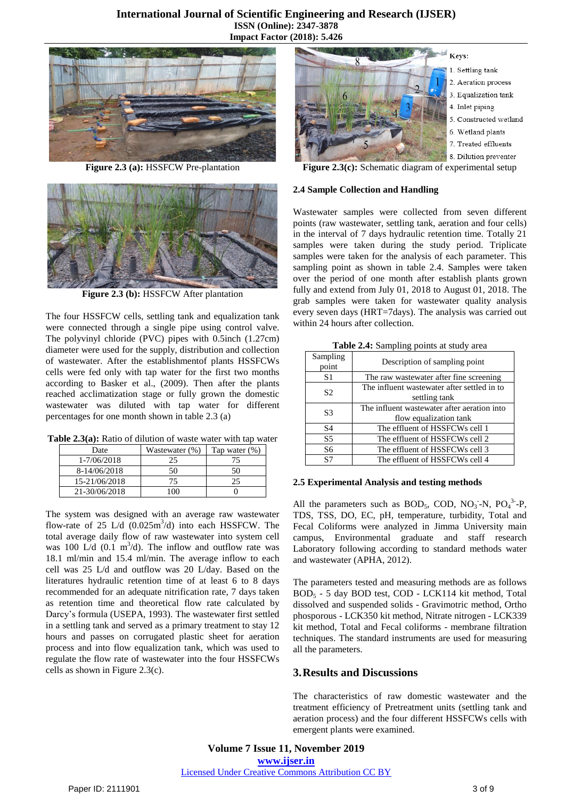

**Figure 2.3 (a):** HSSFCW Pre-plantation



**Figure 2.3 (b):** HSSFCW After plantation

The four HSSFCW cells, settling tank and equalization tank were connected through a single pipe using control valve. The polyvinyl chloride (PVC) pipes with 0.5inch (1.27cm) diameter were used for the supply, distribution and collection of wastewater. After the establishmentof plants HSSFCWs cells were fed only with tap water for the first two months according to Basker et al., (2009). Then after the plants reached acclimatization stage or fully grown the domestic wastewater was diluted with tap water for different percentages for one month shown in table 2.3 (a)

**Table 2.3(a):** Ratio of dilution of waste water with tap water

| Date          | Wastewater (%) | Tap water $(\%)$ |
|---------------|----------------|------------------|
| 1-7/06/2018   | 25             | 75               |
| 8-14/06/2018  | 50             | 50               |
| 15-21/06/2018 |                | 25               |
| 21-30/06/2018 | 100            |                  |

The system was designed with an average raw wastewater flow-rate of 25 L/d  $(0.025 \text{m}^3/\text{d})$  into each HSSFCW. The total average daily flow of raw wastewater into system cell was 100 L/d  $(0.1 \text{ m}^3/d)$ . The inflow and outflow rate was 18.1 ml/min and 15.4 ml/min. The average inflow to each cell was 25 L/d and outflow was 20 L/day. Based on the literatures hydraulic retention time of at least 6 to 8 days recommended for an adequate nitrification rate, 7 days taken as retention time and theoretical flow rate calculated by Darcy's formula (USEPA, 1993). The wastewater first settled in a settling tank and served as a primary treatment to stay 12 hours and passes on corrugated plastic sheet for aeration process and into flow equalization tank, which was used to regulate the flow rate of wastewater into the four HSSFCWs cells as shown in Figure 2.3(c).



**Figure 2.3(c):** Schematic diagram of experimental setup

#### **2.4 Sample Collection and Handling**

Wastewater samples were collected from seven different points (raw wastewater, settling tank, aeration and four cells) in the interval of 7 days hydraulic retention time. Totally 21 samples were taken during the study period. Triplicate samples were taken for the analysis of each parameter. This sampling point as shown in table 2.4. Samples were taken over the period of one month after establish plants grown fully and extend from July 01, 2018 to August 01, 2018. The grab samples were taken for wastewater quality analysis every seven days (HRT=7days). The analysis was carried out within 24 hours after collection.

|  | Table 2.4: Sampling points at study area |  |  |
|--|------------------------------------------|--|--|
|  |                                          |  |  |

| Sampling<br>point | Description of sampling point                                         |  |  |
|-------------------|-----------------------------------------------------------------------|--|--|
| S1                | The raw wastewater after fine screening                               |  |  |
| S <sub>2</sub>    | The influent wastewater after settled in to<br>settling tank          |  |  |
| S3                | The influent wastewater after aeration into<br>flow equalization tank |  |  |
| S <sub>4</sub>    | The effluent of HSSFCWs cell 1                                        |  |  |
| S5                | The effluent of HSSFCWs cell 2                                        |  |  |
| S6                | The effluent of HSSFCWs cell 3                                        |  |  |
| S7                | The effluent of HSSFCWs cell 4                                        |  |  |

#### **2.5 Experimental Analysis and testing methods**

All the parameters such as BOD<sub>5</sub>, COD, NO<sub>3</sub><sup>-</sup>-N, PO<sub>4</sub><sup>3</sup>-P, TDS, TSS, DO, EC, pH, temperature, turbidity, Total and Fecal Coliforms were analyzed in Jimma University main campus, Environmental graduate and staff research Laboratory following according to standard methods water and wastewater (APHA, 2012).

The parameters tested and measuring methods are as follows BOD<sup>5</sup> - 5 day BOD test, COD - LCK114 kit method, Total dissolved and suspended solids - Gravimotric method, Ortho phosporous - LCK350 kit method, Nitrate nitrogen - LCK339 kit method, Total and Fecal coliforms - membrane filtration techniques. The standard instruments are used for measuring all the parameters.

## **3.Results and Discussions**

The characteristics of raw domestic wastewater and the treatment efficiency of Pretreatment units (settling tank and aeration process) and the four different HSSFCWs cells with emergent plants were examined.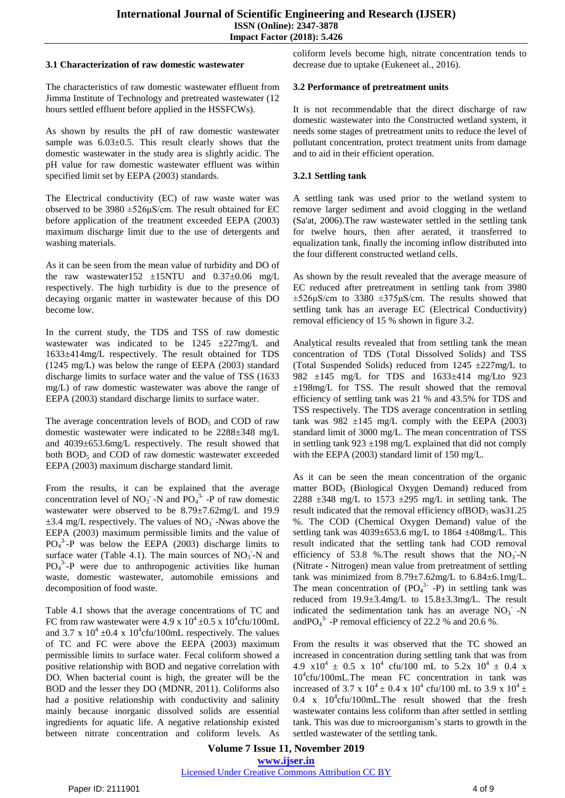#### **3.1 Characterization of raw domestic wastewater**

The characteristics of raw domestic wastewater effluent from Jimma Institute of Technology and pretreated wastewater (12 hours settled effluent before applied in the HSSFCWs).

As shown by results the pH of raw domestic wastewater sample was  $6.03\pm0.5$ . This result clearly shows that the domestic wastewater in the study area is slightly acidic. The pH value for raw domestic wastewater effluent was within specified limit set by EEPA (2003) standards.

The Electrical conductivity (EC) of raw waste water was observed to be  $3980 \pm 526 \mu$ S/cm. The result obtained for EC before application of the treatment exceeded EEPA (2003) maximum discharge limit due to the use of detergents and washing materials.

As it can be seen from the mean value of turbidity and DO of the raw wastewater152  $\pm$ 15NTU and 0.37 $\pm$ 0.06 mg/L respectively. The high turbidity is due to the presence of decaying organic matter in wastewater because of this DO become low.

In the current study, the TDS and TSS of raw domestic wastewater was indicated to be  $1245 \pm 227$  mg/L and 1633±414mg/L respectively. The result obtained for TDS (1245 mg/L) was below the range of EEPA (2003) standard discharge limits to surface water and the value of TSS (1633 mg/L) of raw domestic wastewater was above the range of EEPA (2003) standard discharge limits to surface water.

The average concentration levels of  $BOD<sub>5</sub>$  and COD of raw domestic wastewater were indicated to be 2288±348 mg/L and 4039±653.6mg/L respectively. The result showed that both  $BOD<sub>5</sub>$  and COD of raw domestic wastewater exceeded EEPA (2003) maximum discharge standard limit.

From the results, it can be explained that the average concentration level of  $NO_3^-$ -N and  $PO_4^3$ -P of raw domestic wastewater were observed to be 8.79±7.62mg/L and 19.9  $\pm$ 3.4 mg/L respectively. The values of NO<sub>3</sub> -Nwas above the EEPA (2003) maximum permissible limits and the value of  $PO<sub>4</sub><sup>3</sup> - P$  was below the EEPA (2003) discharge limits to surface water (Table 4.1). The main sources of  $NO<sub>3</sub>$ -N and  $PO<sub>4</sub><sup>3</sup> - P$  were due to anthropogenic activities like human waste, domestic wastewater, automobile emissions and decomposition of food waste.

Table 4.1 shows that the average concentrations of TC and FC from raw wastewater were  $4.9 \times 10^4 \pm 0.5 \times 10^4$ cfu/100mL and 3.7 x  $10^4 \pm 0.4$  x  $10^4$ cfu/100mL respectively. The values of TC and FC were above the EEPA (2003) maximum permissible limits to surface water. Fecal coliform showed a positive relationship with BOD and negative correlation with DO. When bacterial count is high, the greater will be the BOD and the lesser they DO (MDNR, 2011). Coliforms also had a positive relationship with conductivity and salinity mainly because inorganic dissolved solids are essential ingredients for aquatic life. A negative relationship existed between nitrate concentration and coliform levels. As coliform levels become high, nitrate concentration tends to decrease due to uptake (Eukeneet al., 2016).

## **3.2 Performance of pretreatment units**

It is not recommendable that the direct discharge of raw domestic wastewater into the Constructed wetland system, it needs some stages of pretreatment units to reduce the level of pollutant concentration, protect treatment units from damage and to aid in their efficient operation.

## **3.2.1 Settling tank**

A settling tank was used prior to the wetland system to remove larger sediment and avoid clogging in the wetland (Sa'at, 2006).The raw wastewater settled in the settling tank for twelve hours, then after aerated, it transferred to equalization tank, finally the incoming inflow distributed into the four different constructed wetland cells.

As shown by the result revealed that the average measure of EC reduced after pretreatment in settling tank from 3980  $\pm$ 526 $\mu$ S/cm to 3380  $\pm$ 375 $\mu$ S/cm. The results showed that settling tank has an average EC (Electrical Conductivity) removal efficiency of 15 % shown in figure 3.2.

Analytical results revealed that from settling tank the mean concentration of TDS (Total Dissolved Solids) and TSS (Total Suspended Solids) reduced from 1245 ±227mg/L to 982 ±145 mg/L for TDS and 1633±414 mg/Lto 923 ±198mg/L for TSS. The result showed that the removal efficiency of settling tank was 21 % and 43.5% for TDS and TSS respectively. The TDS average concentration in settling tank was  $982 \pm 145$  mg/L comply with the EEPA (2003) standard limit of 3000 mg/L. The mean concentration of TSS in settling tank  $923 \pm 198$  mg/L explained that did not comply with the EEPA (2003) standard limit of 150 mg/L.

As it can be seen the mean concentration of the organic matter BOD<sub>5</sub> (Biological Oxygen Demand) reduced from 2288  $\pm$ 348 mg/L to 1573  $\pm$ 295 mg/L in settling tank. The result indicated that the removal efficiency of  $BOD<sub>5</sub>$  was 31.25 %. The COD (Chemical Oxygen Demand) value of the settling tank was 4039±653.6 mg/L to 1864 ±408mg/L. This result indicated that the settling tank had COD removal efficiency of 53.8 %. The result shows that the  $NO_3^-$ -N (Nitrate - Nitrogen) mean value from pretreatment of settling tank was minimized from  $8.79 \pm 7.62$ mg/L to  $6.84 \pm 6.1$ mg/L. The mean concentration of  $(PO<sub>4</sub><sup>3-</sup> - P)$  in settling tank was reduced from 19.9±3.4mg/L to 15.8±3.3mg/L. The result indicated the sedimentation tank has an average  $NO<sub>3</sub>$  -N and PO $_4$ <sup>3-</sup> -P removal efficiency of 22.2 % and 20.6 %.

From the results it was observed that the TC showed an increased in concentration during settling tank that was from 4.9  $x10^4 \pm 0.5 \times 10^4 \text{ cftu}/100 \text{ mL}$  to 5.2x  $10^4 \pm 0.4 \times 10^4 \text{ m}$ 10<sup>4</sup> cfu/100mL.The mean FC concentration in tank was increased of 3.7 x  $10^4 \pm 0.4$  x  $10^4$  cfu/100 mL to 3.9 x  $10^4 \pm$  $0.4$  x  $10^4$ cfu/100mL. The result showed that the fresh wastewater contains less coliform than after settled in settling tank. This was due to microorganism's starts to growth in the settled wastewater of the settling tank.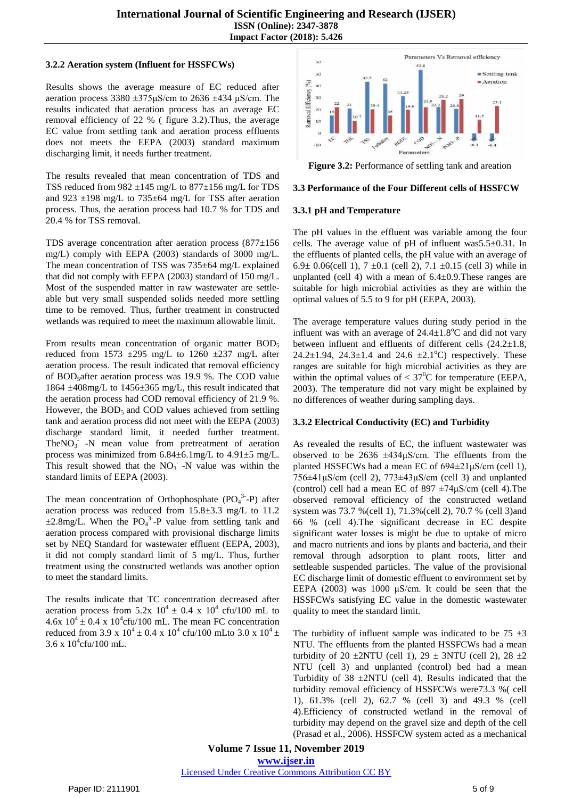#### **3.2.2 Aeration system (Influent for HSSFCWs)**

Results shows the average measure of EC reduced after aeration process  $3380 \pm 375 \mu$ S/cm to  $2636 \pm 434 \mu$ S/cm. The results indicated that aeration process has an average EC removal efficiency of 22 % ( figure 3.2).Thus, the average EC value from settling tank and aeration process effluents does not meets the EEPA (2003) standard maximum discharging limit, it needs further treatment.

The results revealed that mean concentration of TDS and TSS reduced from  $982 \pm 145$  mg/L to  $877 \pm 156$  mg/L for TDS and 923  $\pm$ 198 mg/L to 735 $\pm$ 64 mg/L for TSS after aeration process. Thus, the aeration process had 10.7 % for TDS and 20.4 % for TSS removal.

TDS average concentration after aeration process (877±156 mg/L) comply with EEPA (2003) standards of 3000 mg/L. The mean concentration of TSS was 735±64 mg/L explained that did not comply with EEPA (2003) standard of 150 mg/L. Most of the suspended matter in raw wastewater are settleable but very small suspended solids needed more settling time to be removed. Thus, further treatment in constructed wetlands was required to meet the maximum allowable limit.

From results mean concentration of organic matter  $BOD<sub>5</sub>$ reduced from 1573  $\pm$ 295 mg/L to 1260  $\pm$ 237 mg/L after aeration process. The result indicated that removal efficiency of BOD<sub>5</sub>after aeration process was 19.9 %. The COD value 1864 ±408mg/L to 1456±365 mg/L, this result indicated that the aeration process had COD removal efficiency of 21.9 %. However, the  $BOD<sub>5</sub>$  and COD values achieved from settling tank and aeration process did not meet with the EEPA (2003) discharge standard limit, it needed further treatment.  $The NO<sub>3</sub> -N$  mean value from pretreatment of aeration process was minimized from 6.84±6.1mg/L to 4.91±5 mg/L. This result showed that the  $NO<sub>3</sub>$  -N value was within the standard limits of EEPA (2003).

The mean concentration of Orthophosphate  $(PO<sub>4</sub><sup>3</sup>-P)$  after aeration process was reduced from 15.8±3.3 mg/L to 11.2  $\pm 2.8$ mg/L. When the PO<sub>4</sub><sup>3</sup>-P value from settling tank and aeration process compared with provisional discharge limits set by NEQ Standard for wastewater effluent (EEPA, 2003), it did not comply standard limit of 5 mg/L. Thus, further treatment using the constructed wetlands was another option to meet the standard limits.

The results indicate that TC concentration decreased after aeration process from  $5.2x$   $10^4 \pm 0.4$  x  $10^4$  cfu/100 mL to  $4.6x$   $10^4 \pm 0.4$  x  $10^4$ cfu/100 mL. The mean FC concentration reduced from 3.9 x  $10^4 \pm 0.4$  x  $10^4$  cfu/100 mLto 3.0 x  $10^4 \pm$  $3.6 \times 10^4$ cfu/100 mL.



**Figure 3.2:** Performance of settling tank and areation

#### **3.3 Performance of the Four Different cells of HSSFCW**

#### **3.3.1 pH and Temperature**

The pH values in the effluent was variable among the four cells. The average value of pH of influent was5.5±0.31. In the effluents of planted cells, the pH value with an average of 6.9 $\pm$  0.06(cell 1), 7  $\pm$ 0.1 (cell 2), 7.1  $\pm$ 0.15 (cell 3) while in unplanted (cell 4) with a mean of  $6.4 \pm 0.9$ . These ranges are suitable for high microbial activities as they are within the optimal values of 5.5 to 9 for pH (EEPA, 2003).

The average temperature values during study period in the influent was with an average of  $24.4 \pm 1.8$ °C and did not vary between influent and effluents of different cells (24.2±1.8, 24.2 $\pm$ 1.94, 24.3 $\pm$ 1.4 and 24.6  $\pm$ 2.1<sup>o</sup>C) respectively. These ranges are suitable for high microbial activities as they are within the optimal values of  $< 37^{\circ}$ C for temperature (EEPA, 2003). The temperature did not vary might be explained by no differences of weather during sampling days.

#### **3.3.2 Electrical Conductivity (EC) and Turbidity**

As revealed the results of EC, the influent wastewater was observed to be  $2636 \pm 434 \mu$ S/cm. The effluents from the planted HSSFCWs had a mean EC of 694±21μS/cm (cell 1),  $756\pm41\,\mu\text{S/cm}$  (cell 2),  $773\pm43\,\mu\text{S/cm}$  (cell 3) and unplanted (control) cell had a mean EC of  $897 \pm 74 \mu$ S/cm (cell 4). The observed removal efficiency of the constructed wetland system was 73.7 %(cell 1), 71.3%(cell 2), 70.7 % (cell 3)and 66 % (cell 4).The significant decrease in EC despite significant water losses is might be due to uptake of micro and macro nutrients and ions by plants and bacteria, and their removal through adsorption to plant roots, litter and settleable suspended particles. The value of the provisional EC discharge limit of domestic effluent to environment set by EEPA (2003) was 1000 μS/cm. It could be seen that the HSSFCWs satisfying EC value in the domestic wastewater quality to meet the standard limit.

The turbidity of influent sample was indicated to be  $75 \pm 3$ NTU. The effluents from the planted HSSFCWs had a mean turbidity of 20  $\pm$ 2NTU (cell 1), 29  $\pm$  3NTU (cell 2), 28  $\pm$ 2 NTU (cell 3) and unplanted (control) bed had a mean Turbidity of  $38 \pm 2NTU$  (cell 4). Results indicated that the turbidity removal efficiency of HSSFCWs were73.3 %( cell 1), 61.3% (cell 2), 62.7 % (cell 3) and 49.3 % (cell 4).Efficiency of constructed wetland in the removal of turbidity may depend on the gravel size and depth of the cell (Prasad et al., 2006). HSSFCW system acted as a mechanical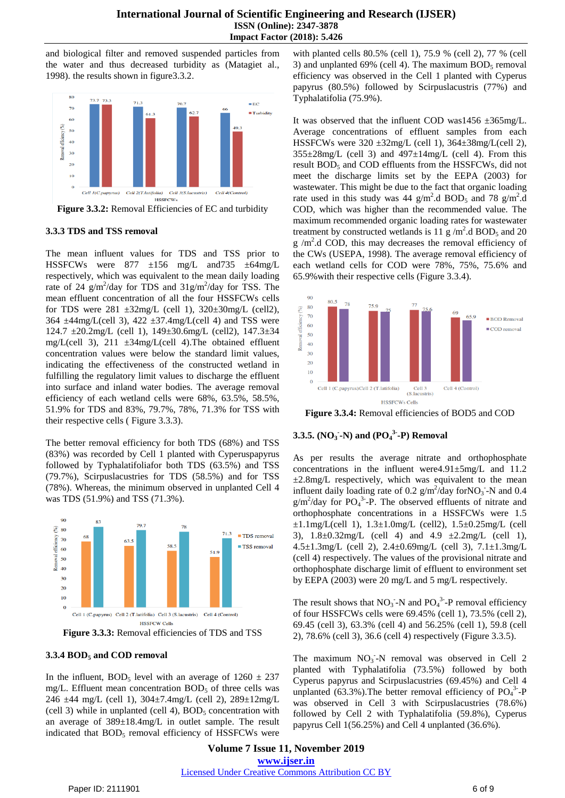and biological filter and removed suspended particles from the water and thus decreased turbidity as (Matagiet al., 1998). the results shown in figure3.3.2.



**Figure 3.3.2:** Removal Efficiencies of EC and turbidity

#### **3.3.3 TDS and TSS removal**

The mean influent values for TDS and TSS prior to HSSFCWs were 877 ±156 mg/L and735 ±64mg/L respectively, which was equivalent to the mean daily loading rate of 24  $g/m^2$ /day for TDS and 31 $g/m^2$ /day for TSS. The mean effluent concentration of all the four HSSFCWs cells for TDS were  $281 \pm 32 \text{mg/L}$  (cell 1),  $320 \pm 30 \text{mg/L}$  (cell 2),  $364 \pm 44$ mg/L(cell 3),  $422 \pm 37.4$ mg/L(cell 4) and TSS were 124.7 ±20.2mg/L (cell 1), 149±30.6mg/L (cell2), 147.3±34 mg/L(cell 3),  $211 \pm 34$ mg/L(cell 4). The obtained effluent concentration values were below the standard limit values, indicating the effectiveness of the constructed wetland in fulfilling the regulatory limit values to discharge the effluent into surface and inland water bodies. The average removal efficiency of each wetland cells were 68%, 63.5%, 58.5%, 51.9% for TDS and 83%, 79.7%, 78%, 71.3% for TSS with their respective cells ( Figure 3.3.3).

The better removal efficiency for both TDS (68%) and TSS (83%) was recorded by Cell 1 planted with Cyperuspapyrus followed by Typhalatifoliafor both TDS (63.5%) and TSS (79.7%), Scirpuslacustries for TDS (58.5%) and for TSS (78%). Whereas, the minimum observed in unplanted Cell 4 was TDS (51.9%) and TSS (71.3%).



**Figure 3.3.3:** Removal efficiencies of TDS and TSS

#### **3.3.4 BOD<sup>5</sup> and COD removal**

In the influent, BOD<sub>5</sub> level with an average of  $1260 \pm 237$ mg/L. Effluent mean concentration  $BOD<sub>5</sub>$  of three cells was 246 ±44 mg/L (cell 1), 304±7.4mg/L (cell 2), 289±12mg/L (cell 3) while in unplanted (cell 4),  $BOD<sub>5</sub>$  concentration with an average of 389±18.4mg/L in outlet sample. The result indicated that  $BOD<sub>5</sub>$  removal efficiency of HSSFCWs were

with planted cells 80.5% (cell 1), 75.9 % (cell 2), 77 % (cell 3) and unplanted 69% (cell 4). The maximum  $BOD<sub>5</sub>$  removal efficiency was observed in the Cell 1 planted with Cyperus papyrus (80.5%) followed by Scirpuslacustris (77%) and Typhalatifolia (75.9%).

It was observed that the influent COD was1456  $\pm$ 365mg/L. Average concentrations of effluent samples from each HSSFCWs were  $320 \pm 32 \text{mg/L}$  (cell 1),  $364 \pm 38 \text{mg/L}$  (cell 2),  $355\pm28$ mg/L (cell 3) and  $497\pm14$ mg/L (cell 4). From this result BOD<sub>5</sub> and COD effluents from the HSSFCWs, did not meet the discharge limits set by the EEPA (2003) for wastewater. This might be due to the fact that organic loading rate used in this study was  $44 \text{ g/m}^2$ .d BOD<sub>5</sub> and 78 g/m<sup>2</sup>.d COD, which was higher than the recommended value. The maximum recommended organic loading rates for wastewater treatment by constructed wetlands is 11  $\frac{g}{m^2}$ .d BOD<sub>5</sub> and 20  $g/m<sup>2</sup>$ .d COD, this may decreases the removal efficiency of the CWs (USEPA, 1998). The average removal efficiency of each wetland cells for COD were 78%, 75%, 75.6% and 65.9%with their respective cells (Figure 3.3.4).



**Figure 3.3.4:** Removal efficiencies of BOD5 and COD

## **3.3.5. (NO<sup>3</sup> - -N) and (PO<sup>4</sup> 3- -P) Removal**

As per results the average nitrate and orthophosphate concentrations in the influent were4.91±5mg/L and 11.2  $\pm 2.8$ mg/L respectively, which was equivalent to the mean influent daily loading rate of 0.2  $g/m^2$ /day forNO<sub>3</sub> -N and 0.4  $g/m^2$ /day for PO<sub>4</sub><sup>3</sup>-P. The observed effluents of nitrate and orthophosphate concentrations in a HSSFCWs were 1.5  $\pm 1.1$ mg/L(cell 1),  $1.3\pm 1.0$ mg/L (cell2),  $1.5\pm 0.25$ mg/L (cell 3), 1.8±0.32mg/L (cell 4) and 4.9 ±2.2mg/L (cell 1), 4.5±1.3mg/L (cell 2), 2.4±0.69mg/L (cell 3), 7.1±1.3mg/L (cell 4) respectively. The values of the provisional nitrate and orthophosphate discharge limit of effluent to environment set by EEPA (2003) were 20 mg/L and 5 mg/L respectively.

The result shows that  $NO_3$ <sup>-</sup>N and  $PO_4$ <sup>3-</sup>-P removal efficiency of four HSSFCWs cells were 69.45% (cell 1), 73.5% (cell 2), 69.45 (cell 3), 63.3% (cell 4) and 56.25% (cell 1), 59.8 (cell 2), 78.6% (cell 3), 36.6 (cell 4) respectively (Figure 3.3.5).

The maximum NO<sub>3</sub>-N removal was observed in Cell 2 planted with Typhalatifolia (73.5%) followed by both Cyperus papyrus and Scirpuslacustries (69.45%) and Cell 4 unplanted  $(63.3\%)$ . The better removal efficiency of PO<sub>4</sub><sup>3</sup>-P was observed in Cell 3 with Scirpuslacustries (78.6%) followed by Cell 2 with Typhalatifolia (59.8%), Cyperus papyrus Cell 1(56.25%) and Cell 4 unplanted (36.6%).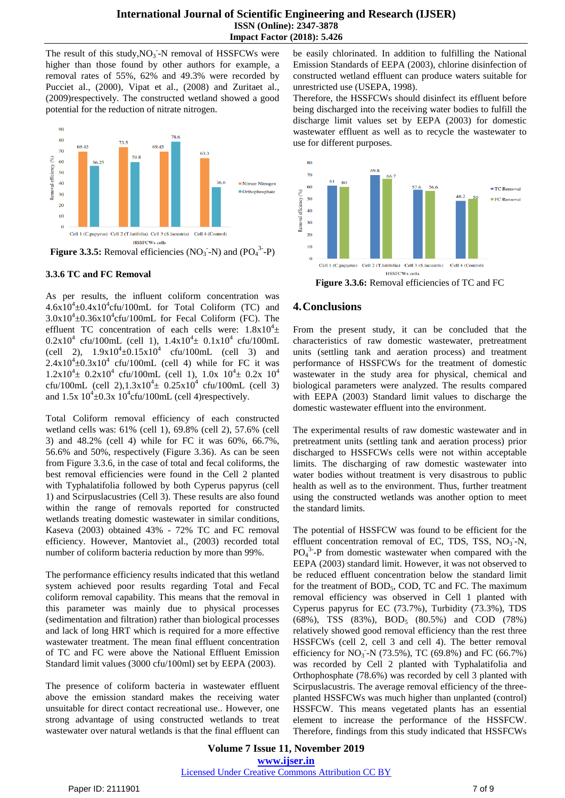The result of this study,  $NO_3$ <sup>-</sup>N removal of HSSFCWs were higher than those found by other authors for example, a removal rates of 55%, 62% and 49.3% were recorded by Pucciet al., (2000), Vipat et al., (2008) and Zuritaet al., (2009)respectively. The constructed wetland showed a good potential for the reduction of nitrate nitrogen.



**Figure 3.3.5:** Removal efficiencies  $(NO<sub>3</sub> - N)$  and  $(PO<sub>4</sub><sup>3</sup> - P)$ 

#### **3.3.6 TC and FC Removal**

As per results, the influent coliform concentration was  $4.6x10^4 \pm 0.4x10^4$ cfu/100mL for Total Coliform (TC) and  $3.0x10^4 \pm 0.36x10^4$ cfu/100mL for Fecal Coliform (FC). The effluent TC concentration of each cells were:  $1.8 \times 10^4 \pm$  $0.2x10^4$  cfu/100mL (cell 1),  $1.4x10^4 \pm 0.1x10^4$  cfu/100mL (cell 2),  $1.9x10^4 \pm 0.15x10^4$  cfu/100mL (cell 3) and  $2.4 \times 10^4 \pm 0.3 \times 10^4$  cfu/100mL (cell 4) while for FC it was  $1.2 \times 10^4 \pm 0.2 \times 10^4$  cfu/100mL (cell 1),  $1.0 \times 10^4 \pm 0.2 \times 10^4$ cfu/100mL (cell 2), $1.3x10^4 \pm 0.25x10^4$  cfu/100mL (cell 3) and  $1.5x\ 10^4\pm0.3x\ 10^4$ cfu/100mL (cell 4)respectively.

Total Coliform removal efficiency of each constructed wetland cells was: 61% (cell 1), 69.8% (cell 2), 57.6% (cell 3) and 48.2% (cell 4) while for FC it was 60%, 66.7%, 56.6% and 50%, respectively (Figure 3.36). As can be seen from Figure 3.3.6, in the case of total and fecal coliforms, the best removal efficiencies were found in the Cell 2 planted with Typhalatifolia followed by both Cyperus papyrus (cell 1) and Scirpuslacustries (Cell 3). These results are also found within the range of removals reported for constructed wetlands treating domestic wastewater in similar conditions, Kaseva (2003) obtained 43% - 72% TC and FC removal efficiency. However, Mantoviet al., (2003) recorded total number of coliform bacteria reduction by more than 99%.

The performance efficiency results indicated that this wetland system achieved poor results regarding Total and Fecal coliform removal capability. This means that the removal in this parameter was mainly due to physical processes (sedimentation and filtration) rather than biological processes and lack of long HRT which is required for a more effective wastewater treatment. The mean final effluent concentration of TC and FC were above the National Effluent Emission Standard limit values (3000 cfu/100ml) set by EEPA (2003).

The presence of coliform bacteria in wastewater effluent above the emission standard makes the receiving water unsuitable for direct contact recreational use.. However, one strong advantage of using constructed wetlands to treat wastewater over natural wetlands is that the final effluent can be easily chlorinated. In addition to fulfilling the National Emission Standards of EEPA (2003), chlorine disinfection of constructed wetland effluent can produce waters suitable for unrestricted use (USEPA, 1998).

Therefore, the HSSFCWs should disinfect its effluent before being discharged into the receiving water bodies to fulfill the discharge limit values set by EEPA (2003) for domestic wastewater effluent as well as to recycle the wastewater to use for different purposes.



**Figure 3.3.6:** Removal efficiencies of TC and FC

# **4.Conclusions**

From the present study, it can be concluded that the characteristics of raw domestic wastewater, pretreatment units (settling tank and aeration process) and treatment performance of HSSFCWs for the treatment of domestic wastewater in the study area for physical, chemical and biological parameters were analyzed. The results compared with EEPA (2003) Standard limit values to discharge the domestic wastewater effluent into the environment.

The experimental results of raw domestic wastewater and in pretreatment units (settling tank and aeration process) prior discharged to HSSFCWs cells were not within acceptable limits. The discharging of raw domestic wastewater into water bodies without treatment is very disastrous to public health as well as to the environment. Thus, further treatment using the constructed wetlands was another option to meet the standard limits.

The potential of HSSFCW was found to be efficient for the effluent concentration removal of EC, TDS, TSS, NO<sub>3</sub>-N,  $PO<sub>4</sub><sup>3</sup> - P$  from domestic wastewater when compared with the EEPA (2003) standard limit. However, it was not observed to be reduced effluent concentration below the standard limit for the treatment of  $BOD<sub>5</sub>$ , COD, TC and FC. The maximum removal efficiency was observed in Cell 1 planted with Cyperus papyrus for EC (73.7%), Turbidity (73.3%), TDS (68%), TSS (83%), BOD<sup>5</sup> (80.5%) and COD (78%) relatively showed good removal efficiency than the rest three HSSFCWs (cell 2, cell 3 and cell 4). The better removal efficiency for NO<sub>3</sub><sup>-</sup>N (73.5%), TC (69.8%) and FC (66.7%) was recorded by Cell 2 planted with Typhalatifolia and Orthophosphate (78.6%) was recorded by cell 3 planted with Scirpuslacustris. The average removal efficiency of the threeplanted HSSFCWs was much higher than unplanted (control) HSSFCW. This means vegetated plants has an essential element to increase the performance of the HSSFCW. Therefore, findings from this study indicated that HSSFCWs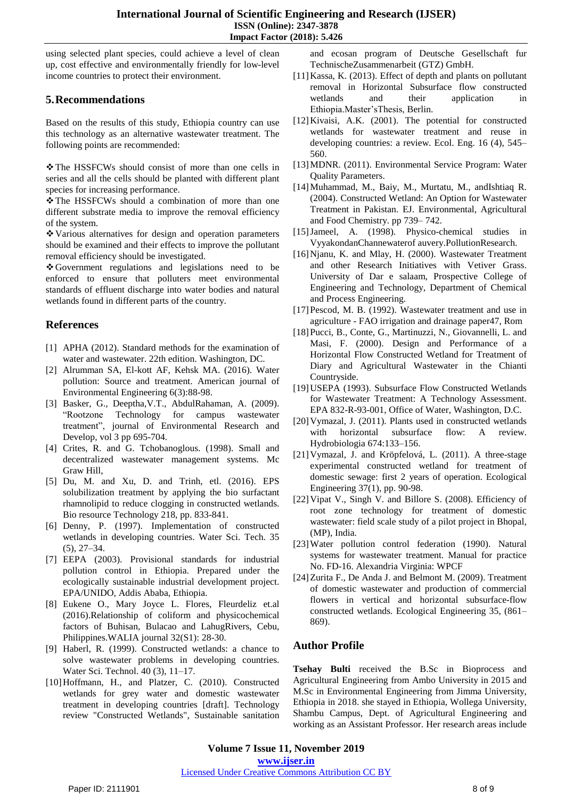using selected plant species, could achieve a level of clean up, cost effective and environmentally friendly for low-level income countries to protect their environment.

# **5.Recommendations**

Based on the results of this study, Ethiopia country can use this technology as an alternative wastewater treatment. The following points are recommended:

\* The HSSFCWs should consist of more than one cells in series and all the cells should be planted with different plant species for increasing performance.

\* The HSSFCWs should a combination of more than one different substrate media to improve the removal efficiency of the system.

Various alternatives for design and operation parameters should be examined and their effects to improve the pollutant removal efficiency should be investigated.

Government regulations and legislations need to be enforced to ensure that polluters meet environmental standards of effluent discharge into water bodies and natural wetlands found in different parts of the country.

# **References**

- [1] APHA (2012). Standard methods for the examination of water and wastewater. 22th edition. Washington, DC.
- [2] Alrumman SA, El-kott AF, Kehsk MA. (2016). Water pollution: Source and treatment. American journal of Environmental Engineering 6(3):88-98.
- [3] Basker, G., Deeptha,V.T., AbdulRahaman, A. (2009). "Rootzone Technology for campus wastewater treatment", journal of Environmental Research and Develop, vol 3 pp 695-704.
- [4] Crites, R. and G. Tchobanoglous. (1998). Small and decentralized wastewater management systems. Mc Graw Hill,
- [5] Du, M. and Xu, D. and Trinh, etl. (2016). EPS solubilization treatment by applying the bio surfactant rhamnolipid to reduce clogging in constructed wetlands. Bio resource Technology 218, pp. 833-841.
- [6] Denny, P. (1997). Implementation of constructed wetlands in developing countries. Water Sci. Tech. 35 (5), 27–34.
- [7] EEPA (2003). Provisional standards for industrial pollution control in Ethiopia. Prepared under the ecologically sustainable industrial development project. EPA/UNIDO, Addis Ababa, Ethiopia.
- [8] Eukene O., Mary Joyce L. Flores, Fleurdeliz et.al (2016).Relationship of coliform and physicochemical factors of Buhisan, Bulacao and LahugRivers, Cebu, Philippines.WALIA journal 32(S1): 28-30.
- [9] Haberl, R. (1999). Constructed wetlands: a chance to solve wastewater problems in developing countries. Water Sci. Technol. 40 (3), 11–17.
- [10] Hoffmann, H., and Platzer, C. (2010). Constructed wetlands for grey water and domestic wastewater treatment in developing countries [draft]. Technology review "Constructed Wetlands", Sustainable sanitation

and ecosan program of Deutsche Gesellschaft fur TechnischeZusammenarbeit (GTZ) GmbH.

- [11]Kassa, K. (2013). Effect of depth and plants on pollutant removal in Horizontal Subsurface flow constructed wetlands and their application Ethiopia.Master'sThesis, Berlin.
- [12]Kivaisi, A.K. (2001). The potential for constructed wetlands for wastewater treatment and reuse in developing countries: a review. Ecol. Eng. 16 (4), 545– 560.
- [13]MDNR. (2011). Environmental Service Program: Water Quality Parameters.
- [14]Muhammad, M., Baiy, M., Murtatu, M., andIshtiaq R. (2004). Constructed Wetland: An Option for Wastewater Treatment in Pakistan. EJ. Environmental, Agricultural and Food Chemistry. pp 739– 742.
- [15]Jameel, A. (1998). Physico-chemical studies in VyyakondanChannewaterof auvery.PollutionResearch.
- [16]Njanu, K. and Mlay, H. (2000). Wastewater Treatment and other Research Initiatives with Vetiver Grass. University of Dar e salaam, Prospective College of Engineering and Technology, Department of Chemical and Process Engineering.
- [17] Pescod, M. B. (1992). Wastewater treatment and use in agriculture - FAO irrigation and drainage paper47, Rom
- [18]Pucci, B., Conte, G., Martinuzzi, N., Giovannelli, L. and Masi, F. (2000). Design and Performance of a Horizontal Flow Constructed Wetland for Treatment of Diary and Agricultural Wastewater in the Chianti Countryside.
- [19]USEPA (1993). Subsurface Flow Constructed Wetlands for Wastewater Treatment: A Technology Assessment. EPA 832-R-93-001, Office of Water, Washington, D.C.
- [20] Vymazal, J. (2011). Plants used in constructed wetlands with horizontal subsurface flow: A review. Hydrobiologia 674:133–156.
- [21] Vymazal, J. and Kröpfelová, L. (2011). A three-stage experimental constructed wetland for treatment of domestic sewage: first 2 years of operation. Ecological Engineering 37(1), pp. 90-98.
- [22]Vipat V., Singh V. and Billore S. (2008). Efficiency of root zone technology for treatment of domestic wastewater: field scale study of a pilot project in Bhopal, (MP), India.
- [23]Water pollution control federation (1990). Natural systems for wastewater treatment. Manual for practice No. FD-16. Alexandria Virginia: WPCF
- [24] Zurita F., De Anda J. and Belmont M. (2009). Treatment of domestic wastewater and production of commercial flowers in vertical and horizontal subsurface-flow constructed wetlands. Ecological Engineering 35, (861– 869).

# **Author Profile**

**Tsehay Bulti** received the B.Sc in Bioprocess and Agricultural Engineering from Ambo University in 2015 and M.Sc in Environmental Engineering from Jimma University, Ethiopia in 2018. she stayed in Ethiopia, Wollega University, Shambu Campus, Dept. of Agricultural Engineering and working as an Assistant Professor. Her research areas include